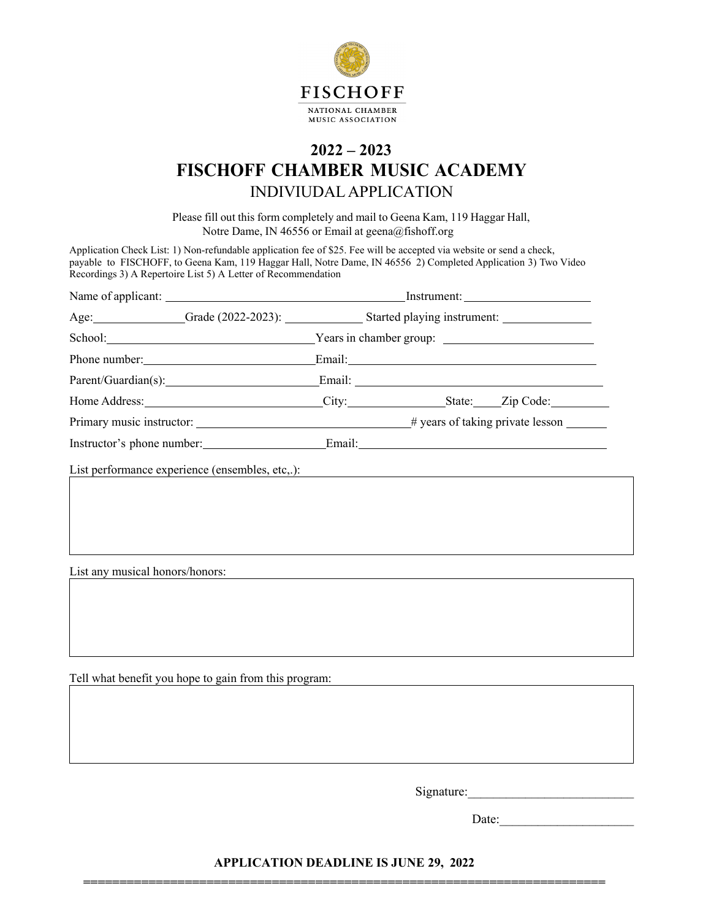

## **2022 – 2023 FISCHOFF CHAMBER MUSIC ACADEMY** INDIVIUDAL APPLICATION

Please fill out this form completely and mail to Geena Kam, 119 Haggar Hall, Notre Dame, IN 46556 or Email at [geena@fishoff.org](mailto:geena@fishoff.org) 

Application Check List: 1) Non-refundable application fee of \$25. Fee will be accepted via [website](https://fischoff.kindful.com/e/fischoff-chamber-music-academy-) or send a check, payable to FISCHOFF, to Geena Kam, 119 Haggar Hall, Notre Dame, IN 46556 2) Completed Application 3) Two Video Recordings 3) A Repertoire List 5) A Letter of Recommendation

|                                                 |                                                           | Age: Grade (2022-2023): Started playing instrument: |  |  |  |
|-------------------------------------------------|-----------------------------------------------------------|-----------------------------------------------------|--|--|--|
|                                                 | School: <u>Nearly Pears in chamber group:</u> Nearly 2014 |                                                     |  |  |  |
|                                                 |                                                           |                                                     |  |  |  |
|                                                 | Parent/Guardian(s): Email: Email:                         |                                                     |  |  |  |
|                                                 |                                                           |                                                     |  |  |  |
|                                                 |                                                           |                                                     |  |  |  |
| Instructor's phone number: Email: Email:        |                                                           |                                                     |  |  |  |
| List performance experience (ensembles, etc,.): |                                                           | <u> 1980 - Andrea Andrew Maria (h. 1980).</u>       |  |  |  |
|                                                 |                                                           |                                                     |  |  |  |
|                                                 |                                                           |                                                     |  |  |  |
|                                                 |                                                           |                                                     |  |  |  |
|                                                 |                                                           |                                                     |  |  |  |
|                                                 |                                                           |                                                     |  |  |  |
| List any musical honors/honors:                 |                                                           |                                                     |  |  |  |

Signature:

Date:

**APPLICATION DEADLINE IS JUNE 29, 2022 ========================================================================**